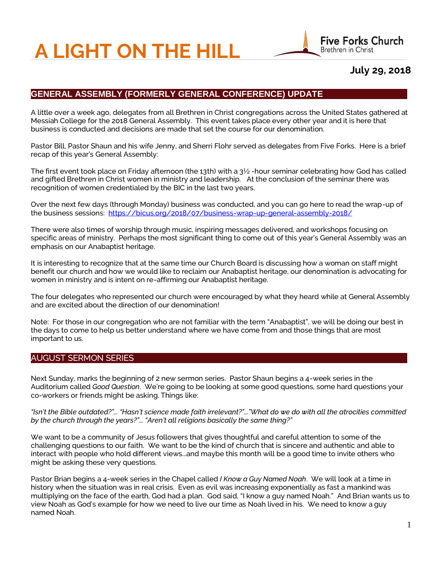# **A LIGHT ON THE HILL**



## **July 29, 2018**

## **GENERAL ASSEMBLY (FORMERLY GENERAL CONFERENCE) UPDATE**

A little over a week ago, delegates from all Brethren in Christ congregations across the United States gathered at Messiah College for the 2018 General Assembly. This event takes place every other year and it is here that business is conducted and decisions are made that set the course for our denomination.

Pastor Bill, Pastor Shaun and his wife Jenny, and Sherri Flohr served as delegates from Five Forks. Here is a brief recap of this year's General Assembly:

The first event took place on Friday afternoon (the 13th) with a  $3\frac{1}{2}$ -hour seminar celebrating how God has called and gifted Brethren in Christ women in ministry and leadership. At the conclusion of the seminar there was recognition of women credentialed by the BIC in the last two years.

Over the next few days (through Monday) business was conducted, and you can go here to read the wrap-up of the business sessions:<https://bicus.org/2018/07/business-wrap-up-general-assembly-2018/>

There were also times of worship through music, inspiring messages delivered, and workshops focusing on specific areas of ministry. Perhaps the most significant thing to come out of this year's General Assembly was an emphasis on our Anabaptist heritage.

It is interesting to recognize that at the same time our Church Board is discussing how a woman on staff might benefit our church and how we would like to reclaim our Anabaptist heritage, our denomination is advocating for women in ministry and is intent on re-affirming our Anabaptist heritage.

The four delegates who represented our church were encouraged by what they heard while at General Assembly and are excited about the direction of our denomination!

Note: For those in our congregation who are not familiar with the term "Anabaptist", we will be doing our best in the days to come to help us better understand where we have come from and those things that are most important to us.

#### AUGUST SERMON SERIES

Next Sunday, marks the beginning of 2 new sermon series. Pastor Shaun begins a 4-week series in the Auditorium called *Good Question*. We're going to be looking at some good questions, some hard questions your co-workers or friends might be asking. Things like:

*"Isn't the Bible outdated?"... "Hasn't science made faith irrelevant?"..."What do we do with all the atrocities committed by the church through the years?"... "Aren't all religions basically the same thing?"*

We want to be a community of Jesus followers that gives thoughtful and careful attention to some of the challenging questions to our faith. We want to be the kind of church that is sincere and authentic and able to interact with people who hold different views...and maybe this month will be a good time to invite others who might be asking these very questions.

Pastor Brian begins a 4-week series in the Chapel called *I Know a Guy Named Noah*. We will look at a time in history when the situation was in real crisis. Even as evil was increasing exponentially as fast a mankind was multiplying on the face of the earth, God had a plan. God said, "I know a guy named Noah." And Brian wants us to view Noah as God's example for how we need to live our time as Noah lived in his. We need to know a guy named Noah.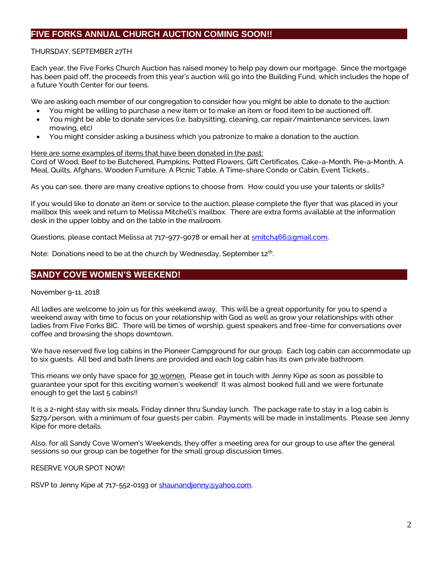## **FIVE FORKS ANNUAL CHURCH AUCTION COMING SOON!!**

#### THURSDAY, SEPTEMBER 27TH

Each year, the Five Forks Church Auction has raised money to help pay down our mortgage. Since the mortgage has been paid off, the proceeds from this year's auction will go into the Building Fund, which includes the hope of a future Youth Center for our teens.

We are asking each member of our congregation to consider how you might be able to donate to the auction:

- You might be willing to purchase a new item or to make an item or food item to be auctioned off.
- You might be able to donate services (i.e. babysitting, cleaning, car repair/maintenance services, lawn mowing, etc)
- You might consider asking a business which you patronize to make a donation to the auction.

#### Here are some examples of items that have been donated in the past:

Cord of Wood, Beef to be Butchered, Pumpkins, Potted Flowers, Gift Certificates, Cake-a-Month, Pie-a-Month, A Meal, Quilts, Afghans, Wooden Furniture, A Picnic Table, A Time-share Condo or Cabin, Event Tickets…

As you can see, there are many creative options to choose from. How could you use your talents or skills?

If you would like to donate an item or service to the auction, please complete the flyer that was placed in your mailbox this week and return to Melissa Mitchell's mailbox. There are extra forms available at the information desk in the upper lobby and on the table in the mailroom.

Questions, please contact Melissa at 717-977-9078 or email her at smitch466@qmail.com.

Note: Donations need to be at the church by Wednesday, September 12<sup>th</sup>.

#### **SANDY COVE WOMEN'S WEEKEND!**

#### November 9-11, 2018

All ladies are welcome to join us for this weekend away. This will be a great opportunity for you to spend a weekend away with time to focus on your relationship with God as well as grow your relationships with other ladies from Five Forks BIC. There will be times of worship, guest speakers and free-time for conversations over coffee and browsing the shops downtown.

We have reserved five log cabins in the Pioneer Campground for our group. Each log cabin can accommodate up to six guests. All bed and bath linens are provided and each log cabin has its own private bathroom.

This means we only have space for 30 women. Please get in touch with Jenny Kipe as soon as possible to guarantee your spot for this exciting women's weekend! It was almost booked full and we were fortunate enough to get the last 5 cabins!!

It is a 2-night stay with six meals, Friday dinner thru Sunday lunch. The package rate to stay in a log cabin is \$279/person, with a minimum of four guests per cabin. Payments will be made in installments. Please see Jenny Kipe for more details.

Also, for all Sandy Cove Women's Weekends, they offer a meeting area for our group to use after the general sessions so our group can be together for the small group discussion times.

RESERVE YOUR SPOT NOW!

RSVP to Jenny Kipe at 717-552-0193 o[r shaunandjenny@yahoo.com.](mailto:shaunandjenny@yahoo.com)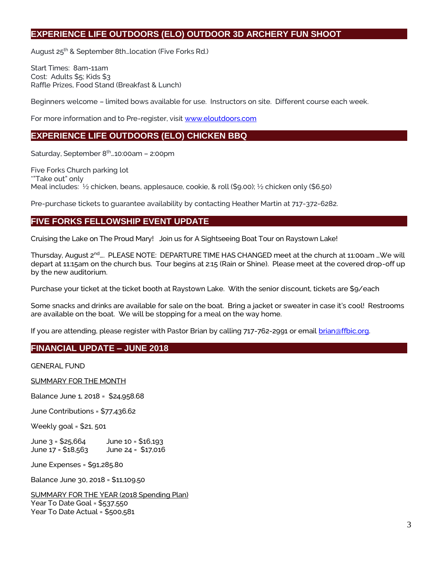## **EXPERIENCE LIFE OUTDOORS (ELO) OUTDOOR 3D ARCHERY FUN SHOOT**

August 25<sup>th</sup> & September 8th... location (Five Forks Rd.)

Start Times: 8am-11am Cost: Adults \$5; Kids \$3 Raffle Prizes, Food Stand (Breakfast & Lunch)

Beginners welcome – limited bows available for use. Instructors on site. Different course each week.

For more information and to Pre-register, visi[t www.eloutdoors.com](http://www.eloutdoors.com/)

## **EXPERIENCE LIFE OUTDOORS (ELO) CHICKEN BBQ**

Saturday, September 8<sup>th</sup>...10:00am - 2:00pm

Five Forks Church parking lot \*"Take out" only Meal includes: ½ chicken, beans, applesauce, cookie, & roll (\$9.00); ½ chicken only (\$6.50)

Pre-purchase tickets to guarantee availability by contacting Heather Martin at 717-372-6282.

## **FIVE FORKS FELLOWSHIP EVENT UPDATE**

Cruising the Lake on The Proud Mary! Join us for A Sightseeing Boat Tour on Raystown Lake!

Thursday, August 2<sup>nd</sup>…. PLEASE NOTE: DEPARTURE TIME HAS CHANGED meet at the church at 11:00am ... We will depart at 11:15am on the church bus. Tour begins at 2:15 (Rain or Shine). Please meet at the covered drop-off up by the new auditorium.

Purchase your ticket at the ticket booth at Raystown Lake. With the senior discount, tickets are \$9/each

Some snacks and drinks are available for sale on the boat. Bring a jacket or sweater in case it's cool! Restrooms are available on the boat. We will be stopping for a meal on the way home.

If you are attending, please register with Pastor Brian by calling 717-762-2991 or email [brian@ffbic.org.](mailto:brian@ffbic.org)

## **FINANCIAL UPDATE – JUNE 2018**

GENERAL FUND

SUMMARY FOR THE MONTH

Balance June 1, 2018 = \$24,958.68

June Contributions = \$77,436.62

Weekly goal = \$21, 501

June 3 = \$25,664 June 10 = \$16,193 June 17 = \$18,563 June 24 = \$17,016

June Expenses = \$91,285.80

Balance June 30, 2018 = \$11,109.50

SUMMARY FOR THE YEAR (2018 Spending Plan) Year To Date Goal = \$537,550 Year To Date Actual = \$500,581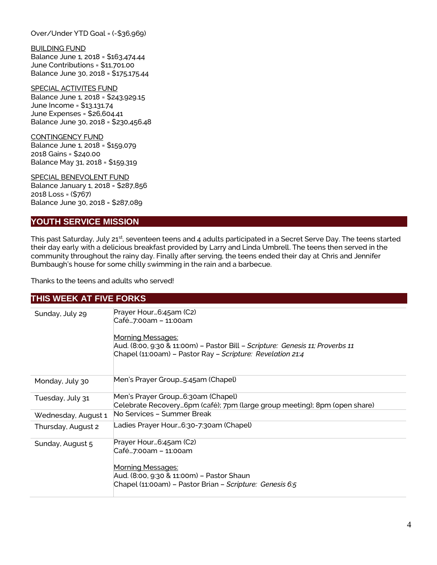Over/Under YTD Goal = (-\$36,969)

BUILDING FUND Balance June 1, 2018 = \$163,474.44 June Contributions = \$11,701.00 Balance June 30, 2018 = \$175,175.44

SPECIAL ACTIVITES FUND Balance June 1, 2018 = \$243,929.15 June Income = \$13,131.74 June Expenses = \$26,604.41 Balance June 30, 2018 = \$230,456.48

CONTINGENCY FUND Balance June 1, 2018 = \$159,079 2018 Gains = \$240.00 Balance May 31, 2018 = \$159,319

SPECIAL BENEVOLENT FUND Balance January 1, 2018 = \$287,856 2018 Loss = (\$767) Balance June 30, 2018 = \$287,089

#### **YOUTH SERVICE MISSION**

This past Saturday, July 21<sup>st</sup>, seventeen teens and 4 adults participated in a Secret Serve Day. The teens started their day early with a delicious breakfast provided by Larry and Linda Umbrell. The teens then served in the community throughout the rainy day. Finally after serving, the teens ended their day at Chris and Jennifer Bumbaugh's house for some chilly swimming in the rain and a barbecue.

Thanks to the teens and adults who served!

#### **THIS WEEK AT FIVE FORKS**

| Sunday, July 29     | Prayer Hour6:45am (C2)<br>Café…7:00am – 11:00am                                       |
|---------------------|---------------------------------------------------------------------------------------|
|                     | Morning Messages:                                                                     |
|                     | Aud. (8:00, 9:30 & 11:00m) – Pastor Bill <i>– Scripture:  Genesis 11; Proverbs 11</i> |
|                     | Chapel (11:00am) - Pastor Ray - Scripture: Revelation 21:4                            |
|                     |                                                                                       |
| Monday, July 30     | Men's Prayer Group…5:45am (Chapel)                                                    |
| Tuesday, July 31    | Men's Prayer Group6:30am (Chapel)                                                     |
|                     | Celebrate Recovery6pm (café); 7pm (large group meeting); 8pm (open share)             |
| Wednesday, August 1 | No Services - Summer Break                                                            |
| Thursday, August 2  | Ladies Prayer Hour…6:30-7:30am (Chapel)                                               |
| Sunday, August 5    | Prayer Hour6:45am (C2)                                                                |
|                     | Café…7:00am – 11:00am                                                                 |
|                     | Morning Messages:                                                                     |
|                     | Aud. (8:00, 9:30 & 11:00m) – Pastor Shaun                                             |
|                     |                                                                                       |
|                     | Chapel (11:00am) – Pastor Brian – Scripture: Genesis 6:5                              |